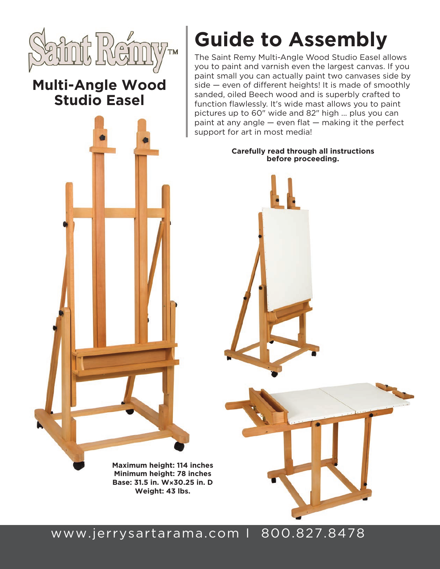

## **Multi-Angle Wood Studio Easel**

# **Guide to Assembly**

The Saint Remy Multi-Angle Wood Studio Easel allows you to paint and varnish even the largest canvas. If you paint small you can actually paint two canvases side by side — even of different heights! It is made of smoothly sanded, oiled Beech wood and is superbly crafted to function flawlessly. It's wide mast allows you to paint pictures up to 60" wide and 82" high ... plus you can paint at any angle — even flat — making it the perfect support for art in most media!

#### **Carefully read through all instructions before proceeding.**

**Maximum height: 114 inches Minimum height: 78 inches Base: 31.5 in. W×30.25 in. D Weight: 43 lbs.**

## www.jerrysartarama.com I 800.827.8478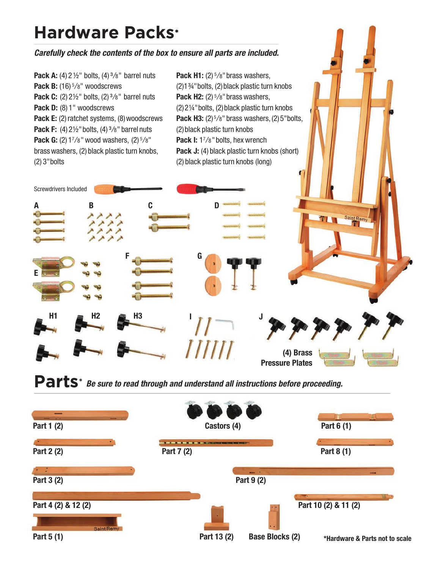## **Hardware Packs**\*

#### *Carefully check the contents of the box to ensure all parts are included.*

**Pack A:** (4) 2  $\frac{1}{2}$  bolts, (4)  $\frac{3}{8}$ " barrel nuts Pack B: (16)<sup>5</sup>/8" woodscrews **Pack C:** (2) 2<sup>1/2"</sup> bolts, (2)<sup>3</sup>/8" barrel nuts Pack D: (8) 1" woodscrews Pack E: (2) ratchet systems, (8) woodscrews **Pack F:** (4) 2<sup>1</sup>/<sub>2</sub>" bolts, (4) <sup>3</sup>/<sub>8</sub>" barrel nuts **Pack G:** (2) 17/8" wood washers, (2)  $\frac{5}{8}$ " brass washers, (2) black plastic turn knobs, (2) 3"bolts

**H1 H2 H3**

**A B**

Screwdrivers Included

**E**

**Pack H1:** (2)  $\frac{5}{8}$ " brass washers, (2)1¾"bolts, (2)black plastic turn knobs **Pack H2:** (2)  $\frac{5}{8}$ " brass washers, (2)2¼"bolts, (2)black plastic turn knobs **Pack H3:** (2)<sup>5</sup>/8" brass washers, (2) 5" bolts, (2)black plastic turn knobs **Pack I:** 17/8" bolts, hex wrench Pack J: (4) black plastic turn knobs (short) (2) black plastic turn knobs (long)

**J**

**(4) Brass Pressure Plates** Saint Rei

Parts\* Be sure to read through and understand all instructions before proceeding.

**I**

ШШ

**C D**

**F G**

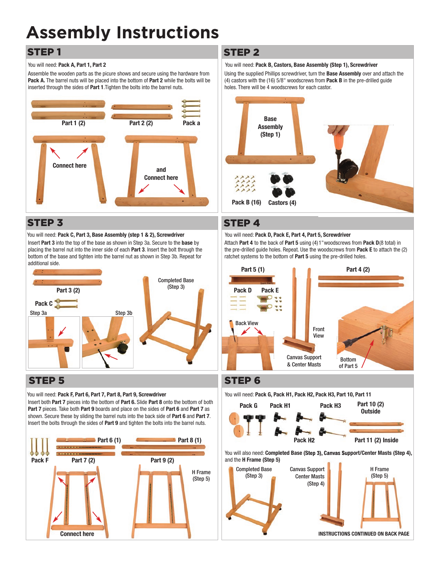## **Assembly Instructions**

### STEP 1

#### You will need: **Pack A, Part 1, Part 2**

Assemble the wooden parts as the picure shows and secure using the hardware from **Pack A.** The barrel nuts will be placed into the bottom of **Part 2** while the bolts will be inserted through the sides of **Part 1**.Tighten the bolts into the barrel nuts.



### STEP 3

You will need: **Pack C, Part 3, Base Assembly (step 1 & 2), Screwdriver** Insert **Part 3** into the top of the base as shown in Step 3a. Secure to the **base** by placing the barrel nut into the inner side of each **Part 3**. Insert the bolt through the bottom of the base and tighten into the barrel nut as shown in Step 3b. Repeat for additional side.



### STEP 5

#### You will need: **Pack F, Part 6, Part 7, Part 8, Part 9, Screwdriver**

Insert both **Part 7** pieces into the bottom of **Part 6.** Slide **Part 8** onto the bottom of both **Part 7** pieces. Take both **Part 9** boards and place on the sides of **Part 6** and **Part 7** as shown. Secure these by sliding the barrel nuts into the back side of **Part 6** and **Part 7**. Insert the bolts through the sides of **Part 9** and tighten the bolts into the barrel nuts.



#### STEP 2

#### You will need: **Pack B, Castors, Base Assembly (Step 1), Screwdriver**

Using the supplied Phillips screwdriver, turn the **Base Assembly** over and attach the (4) castors with the (16) 5/8" woodscrews from **Pack B** in the pre-drilled guide holes. There will be 4 woodscrews for each castor.



#### STEP 4

#### You will need: **Pack D, Pack E, Part 4, Part 5, Screwdriver**

Attach **Part 4** to the back of **Part 5** using (4)1"woodscrews from **Pack D**(8 total) in the pre-drilled guide holes. Repeat. Use the woodscrews from **Pack E** to attach the (2) ratchet systems to the bottom of **Part 5** using the pre-drilled holes.



### STEP 6



You will also need: **Completed Base (Step 3), Canvas Support/Center Masts (Step 4),** and the **H Frame (Step 5)**